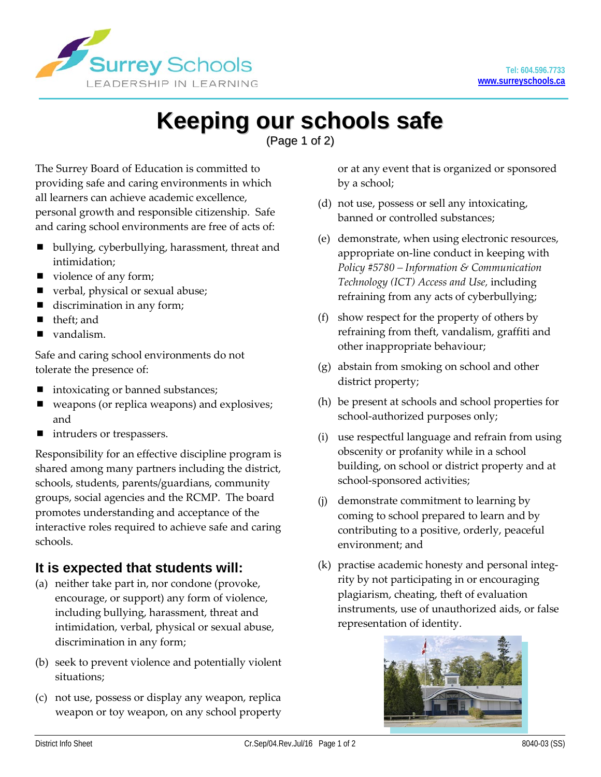

# **Keeping our schools safe**

(Page 1 of 2)

The Surrey Board of Education is committed to providing safe and caring environments in which all learners can achieve academic excellence, personal growth and responsible citizenship. Safe and caring school environments are free of acts of:

- bullying, cyberbullying, harassment, threat and intimidation;
- violence of any form;
- verbal, physical or sexual abuse;
- discrimination in any form;
- theft; and
- vandalism.

Safe and caring school environments do not tolerate the presence of:

- intoxicating or banned substances;
- weapons (or replica weapons) and explosives; and
- intruders or trespassers.

Responsibility for an effective discipline program is shared among many partners including the district, schools, students, parents/guardians, community groups, social agencies and the RCMP. The board promotes understanding and acceptance of the interactive roles required to achieve safe and caring schools.

## **It is expected that students will:**

- (a) neither take part in, nor condone (provoke, encourage, or support) any form of violence, including bullying, harassment, threat and intimidation, verbal, physical or sexual abuse, discrimination in any form;
- (b) seek to prevent violence and potentially violent situations;
- (c) not use, possess or display any weapon, replica weapon or toy weapon, on any school property

or at any event that is organized or sponsored by a school;

- (d) not use, possess or sell any intoxicating, banned or controlled substances;
- (e) demonstrate, when using electronic resources, appropriate on-line conduct in keeping with *Policy #5780 – Information & Communication Technology (ICT) Access and Use,* including refraining from any acts of cyberbullying;
- (f) show respect for the property of others by refraining from theft, vandalism, graffiti and other inappropriate behaviour;
- (g) abstain from smoking on school and other district property;
- (h) be present at schools and school properties for school-authorized purposes only;
- (i) use respectful language and refrain from using obscenity or profanity while in a school building, on school or district property and at school-sponsored activities;
- (j) demonstrate commitment to learning by coming to school prepared to learn and by contributing to a positive, orderly, peaceful environment; and
- (k) practise academic honesty and personal integrity by not participating in or encouraging plagiarism, cheating, theft of evaluation instruments, use of unauthorized aids, or false representation of identity.